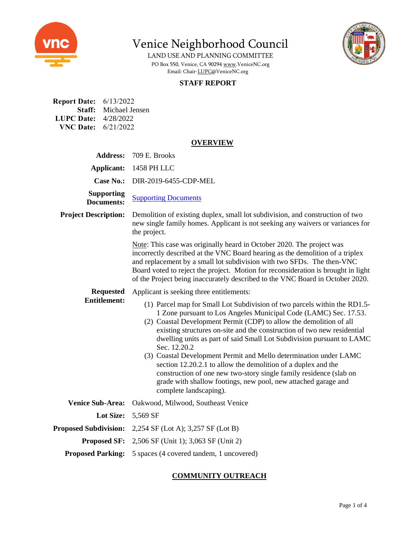

LAND USE AND PLANNING COMMITTEE PO Box 550, Venice, CA 9029[4 www.VeniceNC.org](http://www.venicenc.org/) Email: Chair[-LUPC@VeniceNC.org](mailto:LUPC@VeniceNC.org)

# **STAFF REPORT**

| <b>Report Date:</b> 6/13/2022 |
|-------------------------------|
| <b>Staff:</b> Michael Jensen  |
| <b>LUPC Date:</b> $4/28/2022$ |
| <b>VNC Date:</b> $6/21/2022$  |
|                               |

## **OVERVIEW**

| <b>Address:</b>                         | 709 E. Brooks                                                                                                                                                                                                                                                                                                                                                                                                                                                                                                                                                                                                                                                                                    |
|-----------------------------------------|--------------------------------------------------------------------------------------------------------------------------------------------------------------------------------------------------------------------------------------------------------------------------------------------------------------------------------------------------------------------------------------------------------------------------------------------------------------------------------------------------------------------------------------------------------------------------------------------------------------------------------------------------------------------------------------------------|
| Applicant:                              | 1458 PH LLC                                                                                                                                                                                                                                                                                                                                                                                                                                                                                                                                                                                                                                                                                      |
| <b>Case No.:</b>                        | DIR-2019-6455-CDP-MEL                                                                                                                                                                                                                                                                                                                                                                                                                                                                                                                                                                                                                                                                            |
| <b>Supporting</b><br><b>Documents:</b>  | <b>Supporting Documents</b>                                                                                                                                                                                                                                                                                                                                                                                                                                                                                                                                                                                                                                                                      |
| <b>Project Description:</b>             | Demolition of existing duplex, small lot subdivision, and construction of two<br>new single family homes. Applicant is not seeking any waivers or variances for<br>the project.                                                                                                                                                                                                                                                                                                                                                                                                                                                                                                                  |
|                                         | Note: This case was originally heard in October 2020. The project was<br>incorrectly described at the VNC Board hearing as the demolition of a triplex<br>and replacement by a small lot subdivision with two SFDs. The then-VNC<br>Board voted to reject the project. Motion for reconsideration is brought in light<br>of the Project being inaccurately described to the VNC Board in October 2020.                                                                                                                                                                                                                                                                                           |
| <b>Requested</b><br><b>Entitlement:</b> | Applicant is seeking three entitlements:                                                                                                                                                                                                                                                                                                                                                                                                                                                                                                                                                                                                                                                         |
|                                         | (1) Parcel map for Small Lot Subdivision of two parcels within the RD1.5-<br>1 Zone pursuant to Los Angeles Municipal Code (LAMC) Sec. 17.53.<br>(2) Coastal Development Permit (CDP) to allow the demolition of all<br>existing structures on-site and the construction of two new residential<br>dwelling units as part of said Small Lot Subdivision pursuant to LAMC<br>Sec. 12.20.2<br>(3) Coastal Development Permit and Mello determination under LAMC<br>section 12.20.2.1 to allow the demolition of a duplex and the<br>construction of one new two-story single family residence (slab on<br>grade with shallow footings, new pool, new attached garage and<br>complete landscaping). |
| <b>Venice Sub-Area:</b>                 | Oakwood, Milwood, Southeast Venice                                                                                                                                                                                                                                                                                                                                                                                                                                                                                                                                                                                                                                                               |
| Lot Size:                               | 5,569 SF                                                                                                                                                                                                                                                                                                                                                                                                                                                                                                                                                                                                                                                                                         |
| <b>Proposed Subdivision:</b>            | 2,254 SF (Lot A); 3,257 SF (Lot B)                                                                                                                                                                                                                                                                                                                                                                                                                                                                                                                                                                                                                                                               |
| <b>Proposed SF:</b>                     | 2,506 SF (Unit 1); 3,063 SF (Unit 2)                                                                                                                                                                                                                                                                                                                                                                                                                                                                                                                                                                                                                                                             |
| <b>Proposed Parking:</b>                | 5 spaces (4 covered tandem, 1 uncovered)                                                                                                                                                                                                                                                                                                                                                                                                                                                                                                                                                                                                                                                         |

# **COMMUNITY OUTREACH**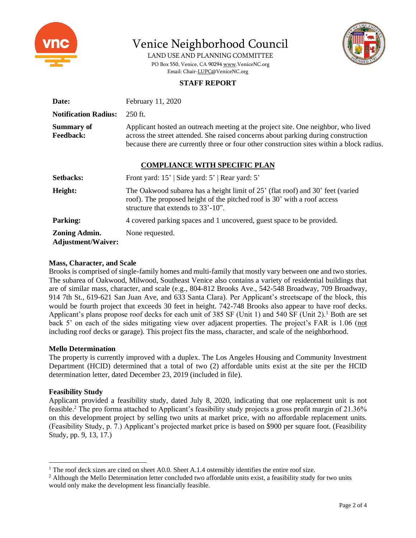



LAND USE AND PLANNING COMMITTEE PO Box 550, Venice, CA 9029[4 www.VeniceNC.org](http://www.venicenc.org/) Email: Chair[-LUPC@VeniceNC.org](mailto:LUPC@VeniceNC.org)

# **STAFF REPORT**

| Date:                                             | February 11, 2020                                                                                                                                                                                                                                                   |  |  |  |  |  |
|---------------------------------------------------|---------------------------------------------------------------------------------------------------------------------------------------------------------------------------------------------------------------------------------------------------------------------|--|--|--|--|--|
| <b>Notification Radius:</b>                       | $250$ ft.                                                                                                                                                                                                                                                           |  |  |  |  |  |
| <b>Summary of</b><br><b>Feedback:</b>             | Applicant hosted an outreach meeting at the project site. One neighbor, who lived<br>across the street attended. She raised concerns about parking during construction<br>because there are currently three or four other construction sites within a block radius. |  |  |  |  |  |
| <b>COMPLIANCE WITH SPECIFIC PLAN</b>              |                                                                                                                                                                                                                                                                     |  |  |  |  |  |
| <b>Setbacks:</b>                                  | Front yard: 15'   Side yard: 5'   Rear yard: 5'                                                                                                                                                                                                                     |  |  |  |  |  |
| Height:                                           | The Oakwood subarea has a height limit of 25' (flat roof) and 30' feet (varied<br>roof). The proposed height of the pitched roof is 30' with a roof access<br>structure that extends to $33'-10$ ".                                                                 |  |  |  |  |  |
| <b>Parking:</b>                                   | 4 covered parking spaces and 1 uncovered, guest space to be provided.                                                                                                                                                                                               |  |  |  |  |  |
| <b>Zoning Admin.</b><br><b>Adjustment/Waiver:</b> | None requested.                                                                                                                                                                                                                                                     |  |  |  |  |  |

## **Mass, Character, and Scale**

Brooks is comprised of single-family homes and multi-family that mostly vary between one and two stories. The subarea of Oakwood, Milwood, Southeast Venice also contains a variety of residential buildings that are of similar mass, character, and scale (e.g., 804-812 Brooks Ave., 542-548 Broadway, 709 Broadway, 914 7th St., 619-621 San Juan Ave, and 633 Santa Clara). Per Applicant's streetscape of the block, this would be fourth project that exceeds 30 feet in height. 742-748 Brooks also appear to have roof decks. Applicant's plans propose roof decks for each unit of 385 SF (Unit 1) and 540 SF (Unit 2).<sup>1</sup> Both are set back 5' on each of the sides mitigating view over adjacent properties. The project's FAR is 1.06 (not including roof decks or garage). This project fits the mass, character, and scale of the neighborhood.

# **Mello Determination**

The property is currently improved with a duplex. The Los Angeles Housing and Community Investment Department (HCID) determined that a total of two (2) affordable units exist at the site per the HCID determination letter, dated December 23, 2019 (included in file).

# **Feasibility Study**

Applicant provided a feasibility study, dated July 8, 2020, indicating that one replacement unit is not feasible. <sup>2</sup> The pro forma attached to Applicant's feasibility study projects a gross profit margin of 21.36% on this development project by selling two units at market price, with no affordable replacement units. (Feasibility Study, p. 7.) Applicant's projected market price is based on \$900 per square foot. (Feasibility Study, pp. 9, 13, 17.)

<sup>&</sup>lt;sup>1</sup> The roof deck sizes are cited on sheet A0.0. Sheet A.1.4 ostensibly identifies the entire roof size.

<sup>&</sup>lt;sup>2</sup> Although the Mello Determination letter concluded two affordable units exist, a feasibility study for two units would only make the development less financially feasible.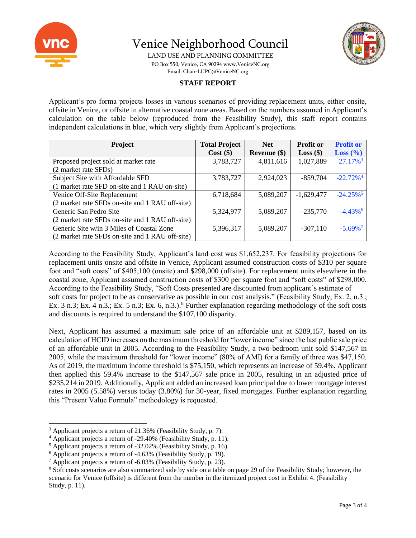



LAND USE AND PLANNING COMMITTEE PO Box 550, Venice, CA 9029[4 www.VeniceNC.org](http://www.venicenc.org/) Email: Chair[-LUPC@VeniceNC.org](mailto:LUPC@VeniceNC.org)

# **STAFF REPORT**

Applicant's pro forma projects losses in various scenarios of providing replacement units, either onsite, offsite in Venice, or offsite in alternative coastal zone areas. Based on the numbers assumed in Applicant's calculation on the table below (reproduced from the Feasibility Study), this staff report contains independent calculations in blue, which very slightly from Applicant's projections.

| <b>Project</b>                                  | <b>Total Project</b> | <b>Net</b>     | <b>Profit or</b> | <b>Profit or</b>        |
|-------------------------------------------------|----------------------|----------------|------------------|-------------------------|
|                                                 | $Cost($ \$)          | Revenue $(\$)$ | $Loss($ \$)      | Loss $(\% )$            |
| Proposed project sold at market rate            | 3,783,727            | 4,811,616      | 1,027,889        | 27.17% <sup>3</sup>     |
| (2 market rate SFDs)                            |                      |                |                  |                         |
| Subject Site with Affordable SFD                | 3,783,727            | 2,924,023      | $-859,704$       | $-22.72\%$ <sup>4</sup> |
| (1 market rate SFD on-site and 1 RAU on-site)   |                      |                |                  |                         |
| Venice Off-Site Replacement                     | 6,718,684            | 5,089,207      | $-1,629,477$     | $-24.25\%$ <sup>5</sup> |
| (2 market rate SFDs on-site and 1 RAU off-site) |                      |                |                  |                         |
| Generic San Pedro Site                          | 5,324,977            | 5,089,207      | $-235,770$       | $-4.43\%$ <sup>6</sup>  |
| (2 market rate SFDs on-site and 1 RAU off-site) |                      |                |                  |                         |
| Generic Site w/in 3 Miles of Coastal Zone       | 5,396,317            | 5,089,207      | $-307,110$       | $-5.69\%$ <sup>7</sup>  |
| (2 market rate SFDs on-site and 1 RAU off-site) |                      |                |                  |                         |

According to the Feasibility Study, Applicant's land cost was \$1,652,237. For feasibility projections for replacement units onsite and offsite in Venice, Applicant assumed construction costs of \$310 per square foot and "soft costs" of \$405,100 (onsite) and \$298,000 (offsite). For replacement units elsewhere in the coastal zone, Applicant assumed construction costs of \$300 per square foot and "soft costs" of \$298,000. According to the Feasibility Study, "Soft Costs presented are discounted from applicant's estimate of soft costs for project to be as conservative as possible in our cost analysis." (Feasibility Study, Ex. 2, n.3.; Ex. 3 n.3; Ex. 4 n.3.; Ex. 5 n.3; Ex. 6, n.3.).<sup>8</sup> Further explanation regarding methodology of the soft costs and discounts is required to understand the \$107,100 disparity.

Next, Applicant has assumed a maximum sale price of an affordable unit at \$289,157, based on its calculation of HCID increases on the maximum threshold for "lower income" since the last public sale price of an affordable unit in 2005. According to the Feasibility Study, a two-bedroom unit sold \$147,567 in 2005, while the maximum threshold for "lower income" (80% of AMI) for a family of three was \$47,150. As of 2019, the maximum income threshold is \$75,150, which represents an increase of 59.4%. Applicant then applied this 59.4% increase to the \$147,567 sale price in 2005, resulting in an adjusted price of \$235,214 in 2019. Additionally, Applicant added an increased loan principal due to lower mortgage interest rates in 2005 (5.58%) versus today (3.80%) for 30-year, fixed mortgages. Further explanation regarding this "Present Value Formula" methodology is requested.

<sup>3</sup> Applicant projects a return of 21.36% (Feasibility Study, p. 7).

<sup>4</sup> Applicant projects a return of -29.40% (Feasibility Study, p. 11).

<sup>5</sup> Applicant projects a return of -32.02% (Feasibility Study, p. 16).

<sup>6</sup> Applicant projects a return of -4.63% (Feasibility Study, p. 19).

 $^7$  Applicant projects a return of -6.03% (Feasibility Study, p. 23).

<sup>8</sup> Soft costs scenarios are also summarized side by side on a table on page 29 of the Feasibility Study; however, the scenario for Venice (offsite) is different from the number in the itemized project cost in Exhibit 4. (Feasibility Study, p. 11).